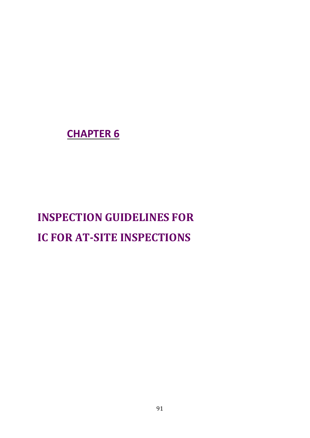**CHAPTER 6**

# **INSPECTION GUIDELINES FOR IC FOR AT-SITE INSPECTIONS**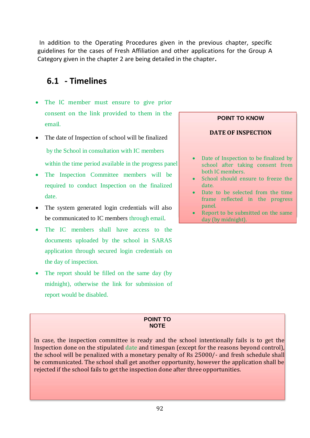In addition to the Operating Procedures given in the previous chapter, specific guidelines for the cases of Fresh Affiliation and other applications for the Group A Category given in the chapter 2 are being detailed in the chapter**.**

## **6.1 - Timelines**

- The IC member must ensure to give prior consent on the link provided to them in the email.
- The date of Inspection of school will be finalized by the School in consultation with IC members within the time period available in the progress panel
- The Inspection Committee members will be required to conduct Inspection on the finalized date.
- The system generated login credentials will also be communicated to IC members through email.
- The IC members shall have access to the documents uploaded by the school in SARAS application through secured login credentials on the day of inspection.
- The report should be filled on the same day (by midnight), otherwise the link for submission of report would be disabled.

# **POINT TO KNOW DATE OF INSPECTION** Date of Inspection to be finalized by school after taking consent from both IC members. School should ensure to freeze the date. Date to be selected from the time frame reflected in the progress panel.

 Report to be submitted on the same day (by midnight).

#### **POINT TO NOTE**

In case, the inspection committee is ready and the school intentionally fails is to get the Inspection done on the stipulated date and timespan (except for the reasons beyond control), the school will be penalized with a monetary penalty of Rs 25000/- and fresh schedule shall be communicated. The school shall get another opportunity, however the application shall be rejected if the school fails to get the inspection done after three opportunities.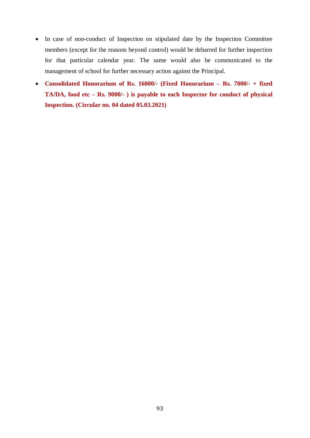- In case of non-conduct of Inspection on stipulated date by the Inspection Committee members (except for the reasons beyond control) would be debarred for further inspection for that particular calendar year. The same would also be communicated to the management of school for further necessary action against the Principal.
- **Consolidated Honorarium of Rs. 16000/- (Fixed Honorarium – Rs. 7000/- + fixed TA/DA, food etc – Rs. 9000/- ) is payable to each Inspector for conduct of physical Inspection. (Circular no. 04 dated 05.03.2021)**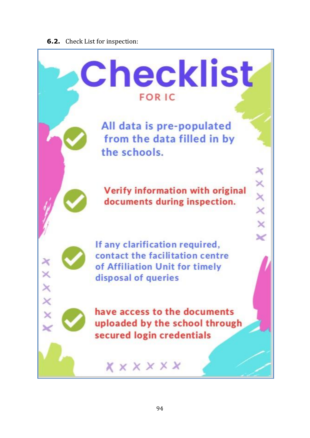#### **6.2.** Check List for inspection:

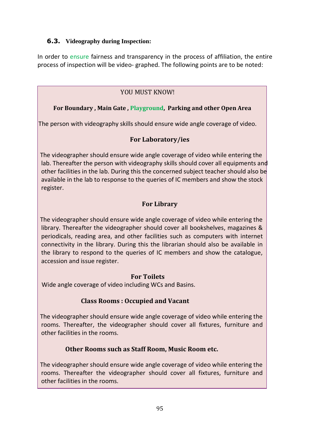#### **6.3. Videography during Inspection:**

In order to ensure fairness and transparency in the process of affiliation, the entire process of inspection will be video- graphed. The following points are to be noted:

## YOU MUST KNOW!

### **For Boundary , Main Gate , Playground, Parking and other Open Area**

The person with videography skills should ensure wide angle coverage of video.

#### **For Laboratory/ies**

 The videographer should ensure wide angle coverage of video while entering the lab. Thereafter the person with videography skills should cover all equipments and other facilities in the lab. During this the concerned subject teacher should also be available in the lab to response to the queries of IC members and show the stock register.

### **For Library**

 The videographer should ensure wide angle coverage of video while entering the library. Thereafter the videographer should cover all bookshelves, magazines & periodicals, reading area, and other facilities such as computers with internet connectivity in the library. During this the librarian should also be available in the library to respond to the queries of IC members and show the catalogue, accession and issue register.

#### **For Toilets**

Wide angle coverage of video including WCs and Basins.

#### **Class Rooms : Occupied and Vacant**

 The videographer should ensure wide angle coverage of video while entering the rooms. Thereafter, the videographer should cover all fixtures, furniture and other facilities in the rooms.

#### **Other Rooms such as Staff Room, Music Room etc.**

 The videographer should ensure wide angle coverage of video while entering the rooms. Thereafter the videographer should cover all fixtures, furniture and other facilities in the rooms.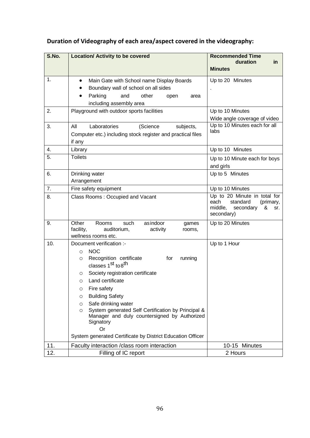## **Duration of Videography of each area/aspect covered in the videography:**

| S.No. | <b>Location/ Activity to be covered</b>                                                                                                                              | <b>Recommended Time</b><br>duration<br>in                                                                       |
|-------|----------------------------------------------------------------------------------------------------------------------------------------------------------------------|-----------------------------------------------------------------------------------------------------------------|
|       |                                                                                                                                                                      | <b>Minutes</b>                                                                                                  |
| 1.    | Main Gate with School name Display Boards<br>$\bullet$<br>Boundary wall of school on all sides<br>Parking<br>and<br>other<br>open<br>area<br>including assembly area | Up to 20 Minutes                                                                                                |
| 2.    | Playground with outdoor sports facilities                                                                                                                            | Up to 10 Minutes                                                                                                |
|       |                                                                                                                                                                      | Wide angle coverage of video                                                                                    |
| 3.    | Laboratories<br>All<br>(Science<br>subjects,<br>Computer etc.) including stock register and practical files<br>if any                                                | Up to 10 Minutes each for all<br>labs                                                                           |
| 4.    | Library                                                                                                                                                              | Up to 10 Minutes                                                                                                |
| 5.    | <b>Toilets</b>                                                                                                                                                       | Up to 10 Minute each for boys<br>and girls                                                                      |
| 6.    | Drinking water<br>Arrangement                                                                                                                                        | Up to 5 Minutes                                                                                                 |
| 7.    | Fire safety equipment                                                                                                                                                | Up to 10 Minutes                                                                                                |
| 8.    | Class Rooms: Occupied and Vacant                                                                                                                                     | Up to 20 Minute in total for<br>standard<br>each<br>(primary,<br>middle,<br>secondary<br>&<br>sr.<br>secondary) |
| 9.    | Other<br>Rooms<br>such<br>asindoor<br>games<br>auditorium,<br>facility,<br>activity<br>rooms,<br>wellness rooms etc.                                                 | Up to 20 Minutes                                                                                                |
| 10.   | Document verification :-                                                                                                                                             | Up to 1 Hour                                                                                                    |
|       | <b>NOC</b><br>$\circ$                                                                                                                                                |                                                                                                                 |
|       | Recognition certificate<br>for<br>running<br>O<br>classes 1 <sup>st</sup> to 8 <sup>th</sup>                                                                         |                                                                                                                 |
|       | Society registration certificate<br>O                                                                                                                                |                                                                                                                 |
|       | Land certificate<br>$\circ$                                                                                                                                          |                                                                                                                 |
|       | Fire safety<br>O                                                                                                                                                     |                                                                                                                 |
|       | <b>Building Safety</b><br>O                                                                                                                                          |                                                                                                                 |
|       | Safe drinking water<br>O                                                                                                                                             |                                                                                                                 |
|       | System generated Self Certification by Principal &<br>$\circ$<br>Manager and duly countersigned by Authorized<br>Signatory<br><b>Or</b>                              |                                                                                                                 |
|       | System generated Certificate by District Education Officer                                                                                                           |                                                                                                                 |
| 11.   | Faculty interaction / class room interaction                                                                                                                         | 10-15 Minutes                                                                                                   |
| 12.   | Filling of IC report                                                                                                                                                 | 2 Hours                                                                                                         |